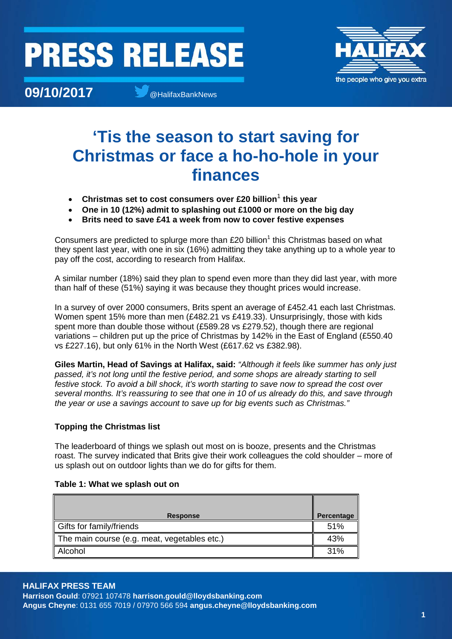### **PRESS RELEASE**



**09/10/2017 a**  $\bullet$  **@HalifaxBankNews** 

### **'Tis the season to start saving for Christmas or face a ho-ho-hole in your finances**

- **Christmas set to cost consumers over £20 billion**<sup>1</sup> **this year**
- **One in 10 (12%) admit to splashing out £1000 or more on the big day**
- **Brits need to save £41 a week from now to cover festive expenses**

Consumers are predicted to splurge more than  $£20$  billion<sup>1</sup> this Christmas based on what they spent last year, with one in six (16%) admitting they take anything up to a whole year to pay off the cost, according to research from Halifax.

A similar number (18%) said they plan to spend even more than they did last year, with more than half of these (51%) saying it was because they thought prices would increase.

In a survey of over 2000 consumers, Brits spent an average of £452.41 each last Christmas. Women spent 15% more than men (£482.21 vs £419.33). Unsurprisingly, those with kids spent more than double those without (£589.28 vs £279.52), though there are regional variations – children put up the price of Christmas by 142% in the East of England (£550.40 vs £227.16), but only 61% in the North West (£617.62 vs £382.98).

**Giles Martin, Head of Savings at Halifax, said:** *"Although it feels like summer has only just passed, it's not long until the festive period, and some shops are already starting to sell festive stock. To avoid a bill shock, it's worth starting to save now to spread the cost over several months. It's reassuring to see that one in 10 of us already do this, and save through the year or use a savings account to save up for big events such as Christmas."*

#### **Topping the Christmas list**

The leaderboard of things we splash out most on is booze, presents and the Christmas roast. The survey indicated that Brits give their work colleagues the cold shoulder – more of us splash out on outdoor lights than we do for gifts for them.

| <b>Response</b>                              | Percentage |
|----------------------------------------------|------------|
| Gifts for family/friends                     | 51%        |
| The main course (e.g. meat, vegetables etc.) | 43%        |
| Alcohol                                      | 31%        |

#### **Table 1: What we splash out on**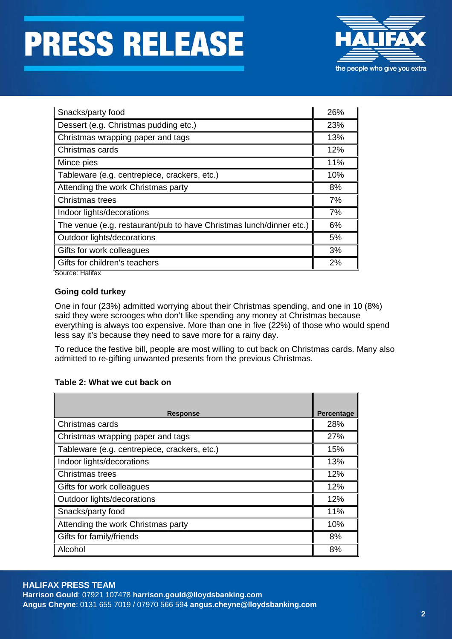# **PRESS RELEASE**



| Snacks/party food                                                   | 26% |
|---------------------------------------------------------------------|-----|
| Dessert (e.g. Christmas pudding etc.)                               | 23% |
| Christmas wrapping paper and tags                                   | 13% |
| Christmas cards                                                     | 12% |
| Mince pies                                                          | 11% |
| Tableware (e.g. centrepiece, crackers, etc.)                        | 10% |
| Attending the work Christmas party                                  | 8%  |
| Christmas trees                                                     | 7%  |
| Indoor lights/decorations                                           | 7%  |
| The venue (e.g. restaurant/pub to have Christmas lunch/dinner etc.) | 6%  |
| Outdoor lights/decorations                                          | 5%  |
| Gifts for work colleagues                                           | 3%  |
| Gifts for children's teachers<br>Course Holifoy                     | 2%  |

Source: Halifax

#### **Going cold turkey**

One in four (23%) admitted worrying about their Christmas spending, and one in 10 (8%) said they were scrooges who don't like spending any money at Christmas because everything is always too expensive. More than one in five (22%) of those who would spend less say it's because they need to save more for a rainy day.

To reduce the festive bill, people are most willing to cut back on Christmas cards. Many also admitted to re-gifting unwanted presents from the previous Christmas.

#### **Table 2: What we cut back on**

| <b>Response</b>                              | <b>Percentage</b> |
|----------------------------------------------|-------------------|
| Christmas cards                              | 28%               |
| Christmas wrapping paper and tags            | 27%               |
| Tableware (e.g. centrepiece, crackers, etc.) | 15%               |
| Indoor lights/decorations                    | 13%               |
| Christmas trees                              | 12%               |
| Gifts for work colleagues                    | 12%               |
| Outdoor lights/decorations                   | 12%               |
| Snacks/party food                            | 11%               |
| Attending the work Christmas party           | 10%               |
| Gifts for family/friends                     | 8%                |
| Alcohol                                      | 8%                |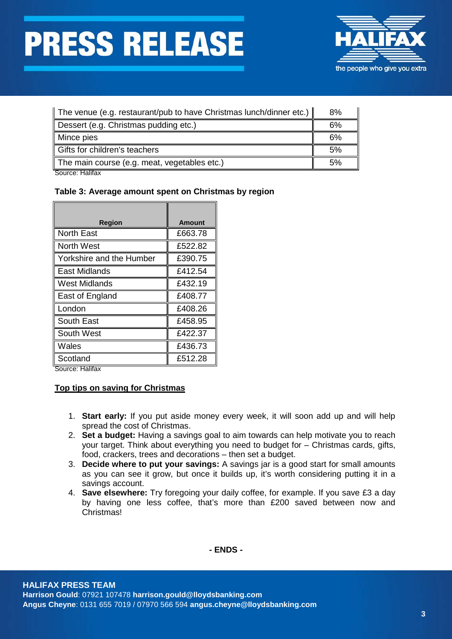## **PRESS RELEASE**



| The venue (e.g. restaurant/pub to have Christmas lunch/dinner etc.) | 8% |
|---------------------------------------------------------------------|----|
| Dessert (e.g. Christmas pudding etc.)                               | 6% |
| Mince pies                                                          | 6% |
| Gifts for children's teachers                                       | 5% |
| The main course (e.g. meat, vegetables etc.)                        | 5% |

Source: Halifax

#### **Table 3: Average amount spent on Christmas by region**

| <b>Region</b>            | <b>Amount</b> |
|--------------------------|---------------|
| <b>North East</b>        | £663.78       |
| <b>North West</b>        | £522.82       |
| Yorkshire and the Humber | £390.75       |
| East Midlands            | £412.54       |
| West Midlands            | £432.19       |
| East of England          | £408.77       |
| London                   | £408.26       |
| South East               | £458.95       |
| South West               | £422.37       |
| Wales                    | £436.73       |
| Scotland                 | £512.28       |

Source: Halifax

#### **Top tips on saving for Christmas**

- 1. **Start early:** If you put aside money every week, it will soon add up and will help spread the cost of Christmas.
- 2. **Set a budget:** Having a savings goal to aim towards can help motivate you to reach your target. Think about everything you need to budget for – Christmas cards, gifts, food, crackers, trees and decorations – then set a budget.
- 3. **Decide where to put your savings:** A savings jar is a good start for small amounts as you can see it grow, but once it builds up, it's worth considering putting it in a savings account.
- 4. **Save elsewhere:** Try foregoing your daily coffee, for example. If you save £3 a day by having one less coffee, that's more than £200 saved between now and Christmas!

**- ENDS -**